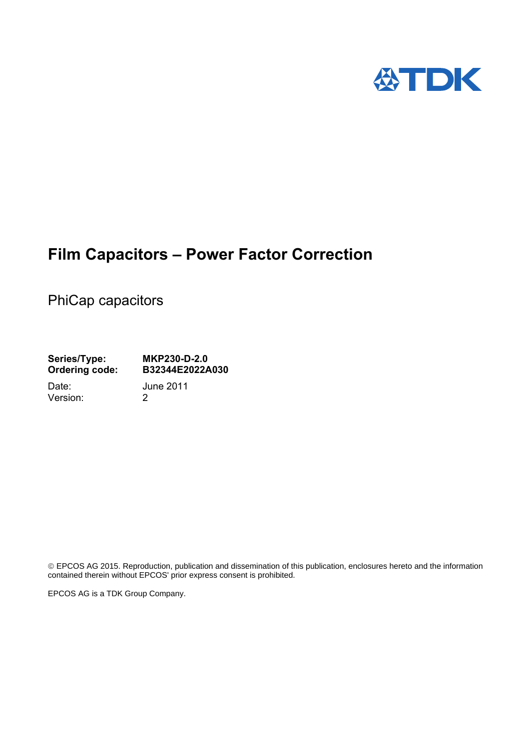

# **Film Capacitors – Power Factor Correction**

PhiCap capacitors

**Series/Type: MKP230-D-2.0 Ordering code: B32344E2022A030**  Date: June 2011 Version: 2

 EPCOS AG 2015. Reproduction, publication and dissemination of this publication, enclosures hereto and the information contained therein without EPCOS' prior express consent is prohibited.

EPCOS AG is a TDK Group Company.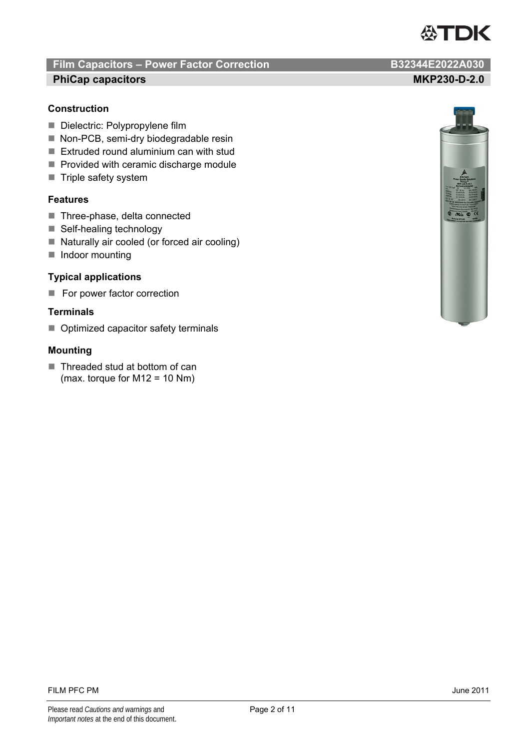# **Film Capacitors – Power Factor Correction B32344E2022A030**

### **PhiCap capacitors MKP230-D-2.0 MKP230-D-2.0**

#### **Construction**

- Dielectric: Polypropylene film
- Non-PCB, semi-dry biodegradable resin
- Extruded round aluminium can with stud
- Provided with ceramic discharge module
- $\blacksquare$  Triple safety system

#### **Features**

- Three-phase, delta connected
- Self-healing technology
- Naturally air cooled (or forced air cooling)
- Indoor mounting

#### **Typical applications**

For power factor correction

#### **Terminals**

■ Optimized capacitor safety terminals

#### **Mounting**

■ Threaded stud at bottom of can (max. torque for M12 = 10 Nm)



#### FILM PFC PM June 2011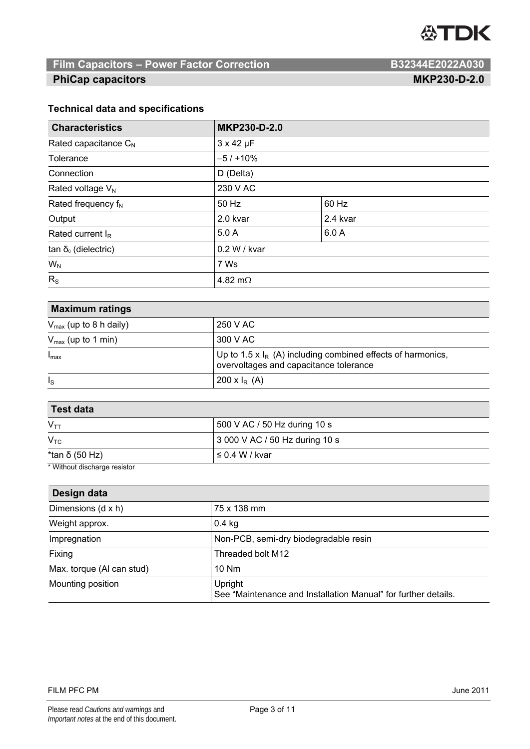

# **Film Capacitors – Power Factor Correction B32344E2022A030**

## **PhiCap capacitors MKP230-D-2.0 MKP230-D-2.0**

#### **Technical data and specifications**

| <b>Characteristics</b>  | MKP230-D-2.0        |          |  |
|-------------------------|---------------------|----------|--|
| Rated capacitance $C_N$ | $3 \times 42 \mu F$ |          |  |
| Tolerance               | $-5/110%$           |          |  |
| Connection              | D (Delta)           |          |  |
| Rated voltage $V_N$     | 230 V AC            |          |  |
| Rated frequency $f_N$   | 50 Hz               | 60 Hz    |  |
| Output                  | 2.0 kvar            | 2.4 kvar |  |
| Rated current $I_R$     | 5.0A                | 6.0A     |  |
| $tan δo$ (dielectric)   | 0.2 W / kvar        |          |  |
| $W_N$                   | 7 Ws                |          |  |
| $R_{\rm S}$             | 4.82 m $\Omega$     |          |  |

| <b>Maximum ratings</b>             |                                                                                                          |
|------------------------------------|----------------------------------------------------------------------------------------------------------|
| $V_{\text{max}}$ (up to 8 h daily) | 250 V AC                                                                                                 |
| $V_{\text{max}}$ (up to 1 min)     | 300 V AC                                                                                                 |
| Imax                               | Up to 1.5 x $I_R$ (A) including combined effects of harmonics,<br>overvoltages and capacitance tolerance |
| $I_{\rm S}$                        | 200 x $I_R(A)$                                                                                           |

| <b>Test data</b>             |                                |
|------------------------------|--------------------------------|
| $V_{TT}$                     | 500 V AC / 50 Hz during 10 s   |
| $V_{TC}$                     | 3 000 V AC / 50 Hz during 10 s |
| $*$ tan δ (50 Hz)            | $\leq$ 0.4 W / kvar            |
| * Without discharge resistor |                                |

### **Design data**

| Design data               |                                                                           |
|---------------------------|---------------------------------------------------------------------------|
| Dimensions (d x h)        | 75 x 138 mm                                                               |
| Weight approx.            | $0.4$ kg                                                                  |
| Impregnation              | Non-PCB, semi-dry biodegradable resin                                     |
| Fixing                    | Threaded bolt M12                                                         |
| Max. torque (AI can stud) | $10$ Nm                                                                   |
| Mounting position         | Upright<br>See "Maintenance and Installation Manual" for further details. |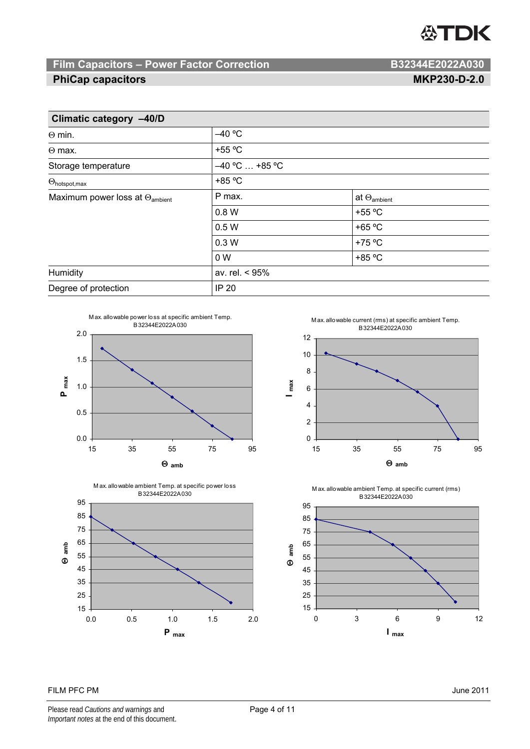## **Film Capacitors – Power Factor Correction B32344E2022A030**

## **PhiCap capacitors MKP230-D-2.0 MKP230-D-2.0**

| Climatic category -40/D                    |                  |                                |
|--------------------------------------------|------------------|--------------------------------|
| $\Theta$ min.                              | $-40$ °C         |                                |
| $\Theta$ max.                              | $+55^{\circ}$ C  |                                |
| Storage temperature                        | $-40 °C  +85 °C$ |                                |
| $\Theta$ hotspot,max                       | +85 °C           |                                |
| Maximum power loss at O <sub>ambient</sub> | P max.           | at $\Theta$ <sub>ambient</sub> |
|                                            | 0.8 W            | $+55$ °C                       |
|                                            | 0.5W             | +65 °C                         |
|                                            | 0.3W             | +75 °C                         |
|                                            | 0 W              | +85 °C                         |
| Humidity                                   | av. rel. $< 95%$ |                                |
| Degree of protection                       | <b>IP 20</b>     |                                |





0.0 0.5 1.0 1.5 2.0

**P max**

M ax. allowable current (rms) at specific ambient Temp. B32344E2022A030







FILM PFC PM June 2011

15

 $\ddot{\bullet}$ **amb**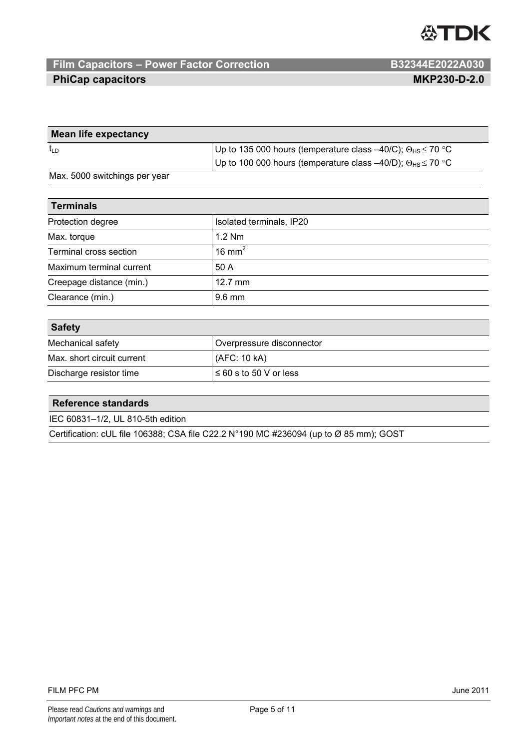# **Film Capacitors – Power Factor Correction B32344E2022A030**

# **PhiCap capacitors MKP230-D-2.0 MKP230-D-2.0**

| Mean life expectancy |                                                                                  |
|----------------------|----------------------------------------------------------------------------------|
| $t_{LD}$             | Up to 135 000 hours (temperature class $-40/C$ ); $\Theta_{HS} \le 70$ °C        |
|                      | Up to 100 000 hours (temperature class $-40/D$ ); $\Theta_{HS} \le 70 \degree C$ |

Max. 5000 switchings per year

| <b>Terminals</b>         |                          |  |
|--------------------------|--------------------------|--|
| Protection degree        | Isolated terminals, IP20 |  |
| Max. torque              | $1.2$ Nm                 |  |
| Terminal cross section   | 16 mm <sup>2</sup>       |  |
| Maximum terminal current | 50 A                     |  |
| Creepage distance (min.) | 12.7 mm                  |  |
| Clearance (min.)         | $9.6 \text{ mm}$         |  |

| <b>Safety</b>              |                             |  |
|----------------------------|-----------------------------|--|
| Mechanical safety          | Overpressure disconnector   |  |
| Max. short circuit current | (AFC: 10 kA)                |  |
| Discharge resistor time    | $\leq 60$ s to 50 V or less |  |
|                            |                             |  |

| <b>Reference standards</b>        |  |
|-----------------------------------|--|
| IEC 60831-1/2, UL 810-5th edition |  |

Certification: cUL file 106388; CSA file C22.2 N°190 MC #236094 (up to Ø 85 mm); GOST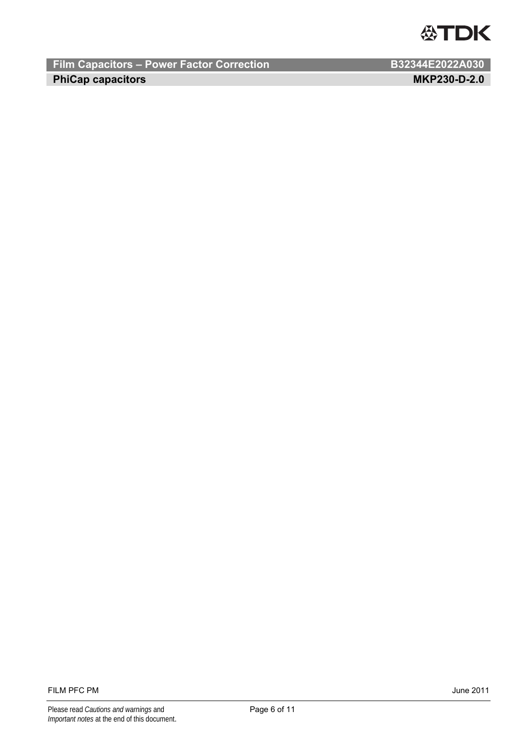**Film Capacitors – Power Factor Correction B32344E2022A030** 

# **PhiCap capacitors MKP230-D-2.0 MKP230-D-2.0**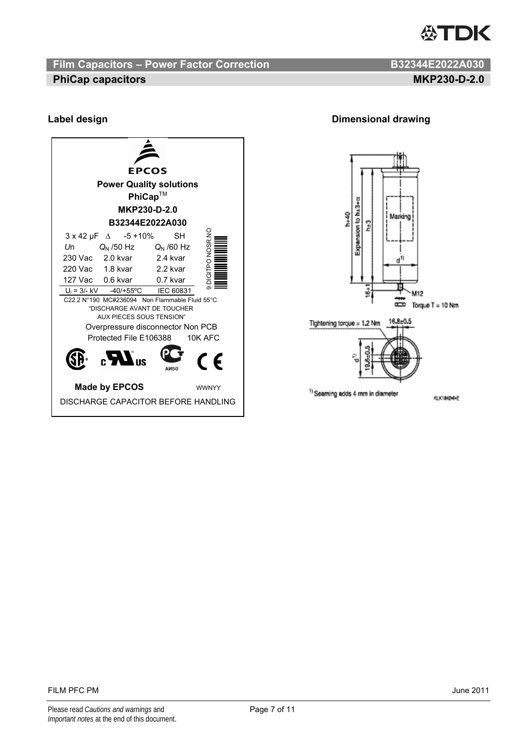# 《ATDK

## **Film Capacitors – Power Factor Correction B32344E2022A030**

### **PhiCap capacitors MKP230-D-2.0 MKP230-D-2.0**



### **Label design Contract Contract Contract Contract Contract Contract Contract Contract Contract Contract Contract Contract Contract Contract Contract Contract Contract Contract Contract Contract Contract Contract Contract C**



**KLX1843-0-F**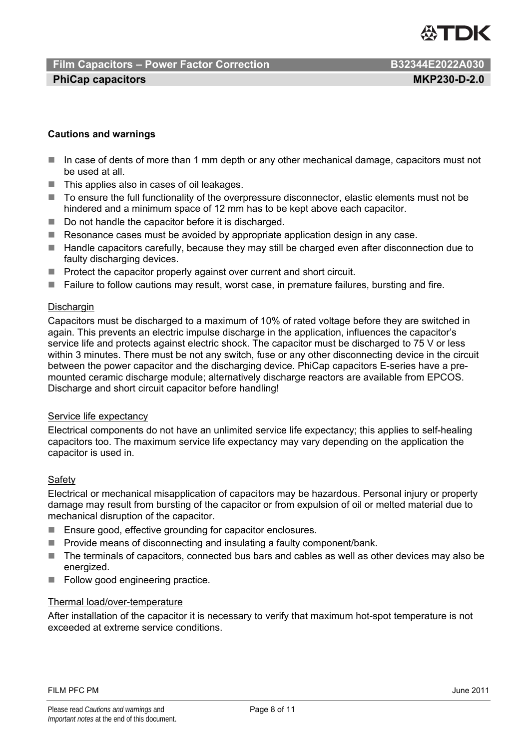

# **Film Capacitors – Power Factor Correction B32344E2022A030**

#### **PhiCap capacitors MKP230-D-2.0 MKP230-D-2.0**

#### **Cautions and warnings**

- In case of dents of more than 1 mm depth or any other mechanical damage, capacitors must not be used at all.
- $\blacksquare$  This applies also in cases of oil leakages.
- To ensure the full functionality of the overpressure disconnector, elastic elements must not be hindered and a minimum space of 12 mm has to be kept above each capacitor.
- $\blacksquare$  Do not handle the capacitor before it is discharged.
- Resonance cases must be avoided by appropriate application design in any case.
- Handle capacitors carefully, because they may still be charged even after disconnection due to faulty discharging devices.
- $\blacksquare$  Protect the capacitor properly against over current and short circuit.
- Failure to follow cautions may result, worst case, in premature failures, bursting and fire.

#### **Dischargin**

Capacitors must be discharged to a maximum of 10% of rated voltage before they are switched in again. This prevents an electric impulse discharge in the application, influences the capacitor's service life and protects against electric shock. The capacitor must be discharged to 75 V or less within 3 minutes. There must be not any switch, fuse or any other disconnecting device in the circuit between the power capacitor and the discharging device. PhiCap capacitors E-series have a premounted ceramic discharge module; alternatively discharge reactors are available from EPCOS. Discharge and short circuit capacitor before handling!

#### Service life expectancy

Electrical components do not have an unlimited service life expectancy; this applies to self-healing capacitors too. The maximum service life expectancy may vary depending on the application the capacitor is used in.

#### Safety

Electrical or mechanical misapplication of capacitors may be hazardous. Personal injury or property damage may result from bursting of the capacitor or from expulsion of oil or melted material due to mechanical disruption of the capacitor.

- Ensure good, effective grounding for capacitor enclosures.
- $\blacksquare$  Provide means of disconnecting and insulating a faulty component/bank.
- The terminals of capacitors, connected bus bars and cables as well as other devices may also be energized.
- Follow good engineering practice.

#### Thermal load/over-temperature

After installation of the capacitor it is necessary to verify that maximum hot-spot temperature is not exceeded at extreme service conditions.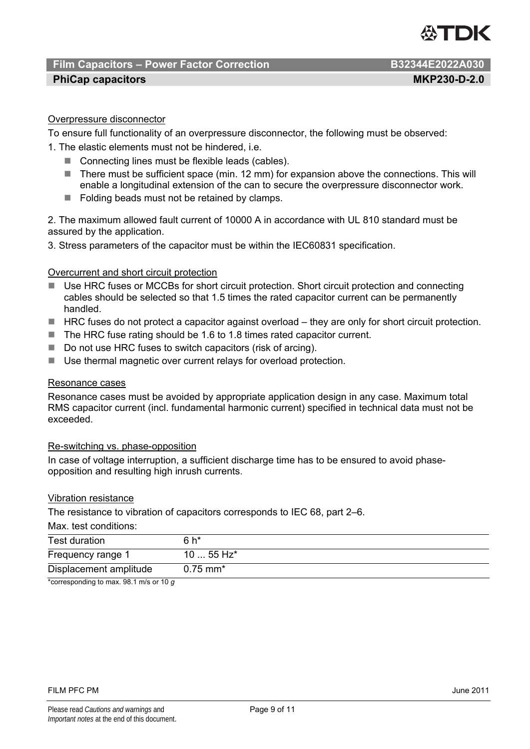# STDK

## **Film Capacitors – Power Factor Correction B32344E2022A030**

#### **PhiCap capacitors MKP230-D-2.0 MKP230-D-2.0**

#### Overpressure disconnector

To ensure full functionality of an overpressure disconnector, the following must be observed:

- 1. The elastic elements must not be hindered, i.e.
	- Connecting lines must be flexible leads (cables).
	- There must be sufficient space (min. 12 mm) for expansion above the connections. This will enable a longitudinal extension of the can to secure the overpressure disconnector work.
	- $\blacksquare$  Folding beads must not be retained by clamps.

2. The maximum allowed fault current of 10000 A in accordance with UL 810 standard must be assured by the application.

3. Stress parameters of the capacitor must be within the IEC60831 specification.

#### Overcurrent and short circuit protection

- Use HRC fuses or MCCBs for short circuit protection. Short circuit protection and connecting cables should be selected so that 1.5 times the rated capacitor current can be permanently handled.
- HRC fuses do not protect a capacitor against overload they are only for short circuit protection.
- The HRC fuse rating should be 1.6 to 1.8 times rated capacitor current.
- Do not use HRC fuses to switch capacitors (risk of arcing).
- Use thermal magnetic over current relays for overload protection.

#### Resonance cases

Resonance cases must be avoided by appropriate application design in any case. Maximum total RMS capacitor current (incl. fundamental harmonic current) specified in technical data must not be exceeded.

#### Re-switching vs. phase-opposition

In case of voltage interruption, a sufficient discharge time has to be ensured to avoid phaseopposition and resulting high inrush currents.

#### Vibration resistance

The resistance to vibration of capacitors corresponds to IEC 68, part 2–6.

| <b>Test duration</b>   | 6 h*                   |  |
|------------------------|------------------------|--|
| Frequency range 1      | $1055$ Hz*             |  |
| Displacement amplitude | $0.75$ mm <sup>*</sup> |  |
|                        |                        |  |

\*corresponding to max. 98.1 m/s or 10 *g*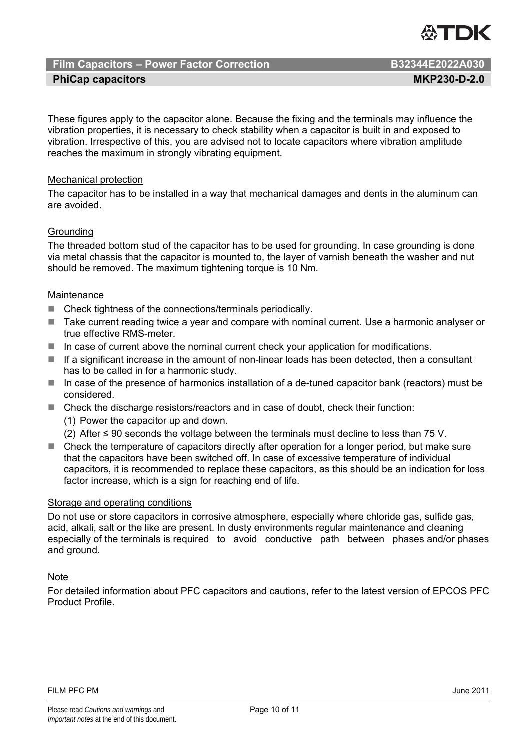

# **Film Capacitors – Power Factor Correction B32344E2022A030**

#### **PhiCap capacitors MKP230-D-2.0 MKP230-D-2.0**

These figures apply to the capacitor alone. Because the fixing and the terminals may influence the vibration properties, it is necessary to check stability when a capacitor is built in and exposed to vibration. Irrespective of this, you are advised not to locate capacitors where vibration amplitude reaches the maximum in strongly vibrating equipment.

#### Mechanical protection

The capacitor has to be installed in a way that mechanical damages and dents in the aluminum can are avoided.

#### **Grounding**

The threaded bottom stud of the capacitor has to be used for grounding. In case grounding is done via metal chassis that the capacitor is mounted to, the layer of varnish beneath the washer and nut should be removed. The maximum tightening torque is 10 Nm.

#### Maintenance

- $\blacksquare$  Check tightness of the connections/terminals periodically.
- Take current reading twice a year and compare with nominal current. Use a harmonic analyser or true effective RMS-meter.
- $\blacksquare$  In case of current above the nominal current check your application for modifications.
- If a significant increase in the amount of non-linear loads has been detected, then a consultant has to be called in for a harmonic study.
- In case of the presence of harmonics installation of a de-tuned capacitor bank (reactors) must be considered.
- Check the discharge resistors/reactors and in case of doubt, check their function:
	- (1) Power the capacitor up and down.
	- (2) After ≤ 90 seconds the voltage between the terminals must decline to less than 75 V.
- Check the temperature of capacitors directly after operation for a longer period, but make sure that the capacitors have been switched off. In case of excessive temperature of individual capacitors, it is recommended to replace these capacitors, as this should be an indication for loss factor increase, which is a sign for reaching end of life.

#### Storage and operating conditions

Do not use or store capacitors in corrosive atmosphere, especially where chloride gas, sulfide gas, acid, alkali, salt or the like are present. In dusty environments regular maintenance and cleaning especially of the terminals is required to avoid conductive path between phases and/or phases and ground.

#### **Note**

For detailed information about PFC capacitors and cautions, refer to the latest version of EPCOS PFC Product Profile.